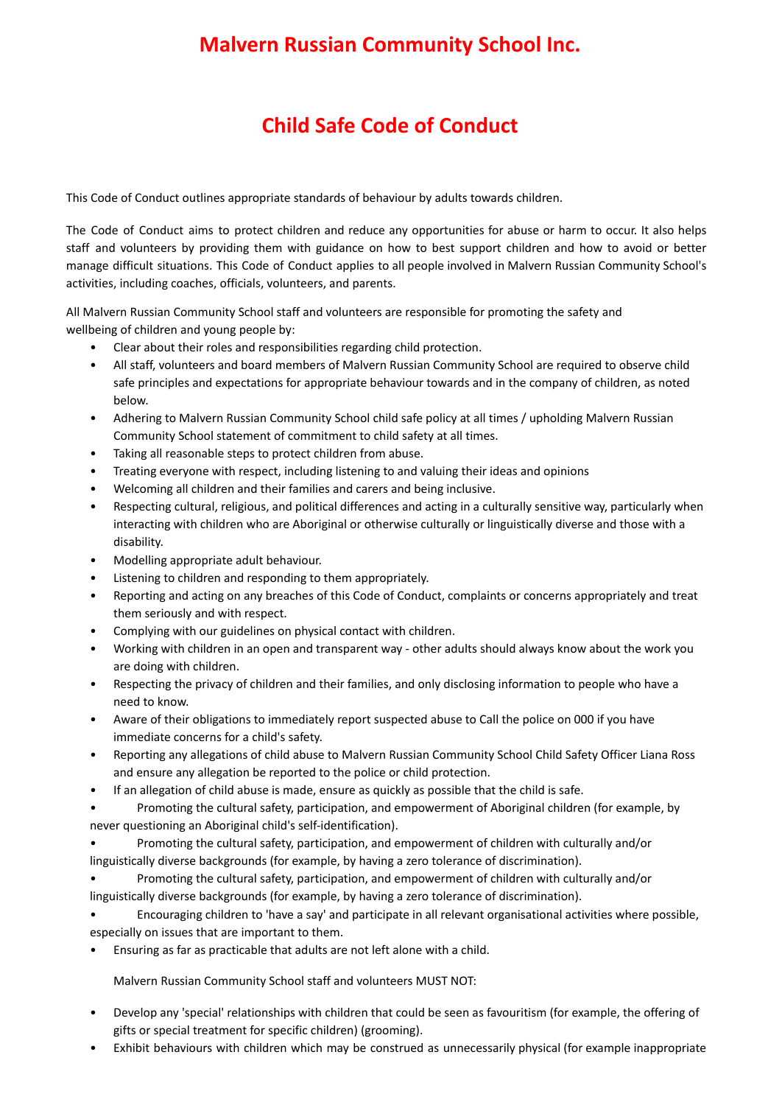## **Malvern Russian Community School Inc.**

## **Child Safe Code of Conduct**

This Code of Conduct outlines appropriate standards of behaviour by adults towards children.

The Code of Conduct aims to protect children and reduce any opportunities for abuse or harm to occur. It also helps staff and volunteers by providing them with guidance on how to best support children and how to avoid or better manage difficult situations. This Code of Conduct applies to all people involved in Malvern Russian Community School's activities, including coaches, officials, volunteers, and parents.

All Malvern Russian Community School staff and volunteers are responsible for promoting the safety and wellbeing of children and young people by:

- Clear about their roles and responsibilities regarding child protection.
- All staff, volunteers and board members of Malvern Russian Community School are required to observe child safe principles and expectations for appropriate behaviour towards and in the company of children, as noted below.
- Adhering to Malvern Russian Community School child safe policy at all times / upholding Malvern Russian Community School statement of commitment to child safety at all times.
- Taking all reasonable steps to protect children from abuse.
- Treating everyone with respect, including listening to and valuing their ideas and opinions
- Welcoming all children and their families and carers and being inclusive.
- Respecting cultural, religious, and political differences and acting in a culturally sensitive way, particularly when interacting with children who are Aboriginal or otherwise culturally or linguistically diverse and those with a disability.
- Modelling appropriate adult behaviour.
- Listening to children and responding to them appropriately.
- Reporting and acting on any breaches of this Code of Conduct, complaints or concerns appropriately and treat them seriously and with respect.
- Complying with our guidelines on physical contact with children.
- Working with children in an open and transparent way other adults should always know about the work you are doing with children.
- Respecting the privacy of children and their families, and only disclosing information to people who have a need to know.
- Aware of their obligations to immediately report suspected abuse to Call the police on 000 if you have immediate concerns for a child's safety.
- Reporting any allegations of child abuse to Malvern Russian Community School Child Safety Officer Liana Ross and ensure any allegation be reported to the police or child protection.
- If an allegation of child abuse is made, ensure as quickly as possible that the child is safe.
- Promoting the cultural safety, participation, and empowerment of Aboriginal children (for example, by never questioning an Aboriginal child's self-identification).
- Promoting the cultural safety, participation, and empowerment of children with culturally and/or linguistically diverse backgrounds (for example, by having a zero tolerance of discrimination).
- Promoting the cultural safety, participation, and empowerment of children with culturally and/or linguistically diverse backgrounds (for example, by having a zero tolerance of discrimination).
- Encouraging children to 'have a say' and participate in all relevant organisational activities where possible, especially on issues that are important to them.
- Ensuring as far as practicable that adults are not left alone with a child.

Malvern Russian Community School staff and volunteers MUST NOT:

- Develop any 'special' relationships with children that could be seen as favouritism (for example, the offering of gifts or special treatment for specific children) (grooming).
- Exhibit behaviours with children which may be construed as unnecessarily physical (for example inappropriate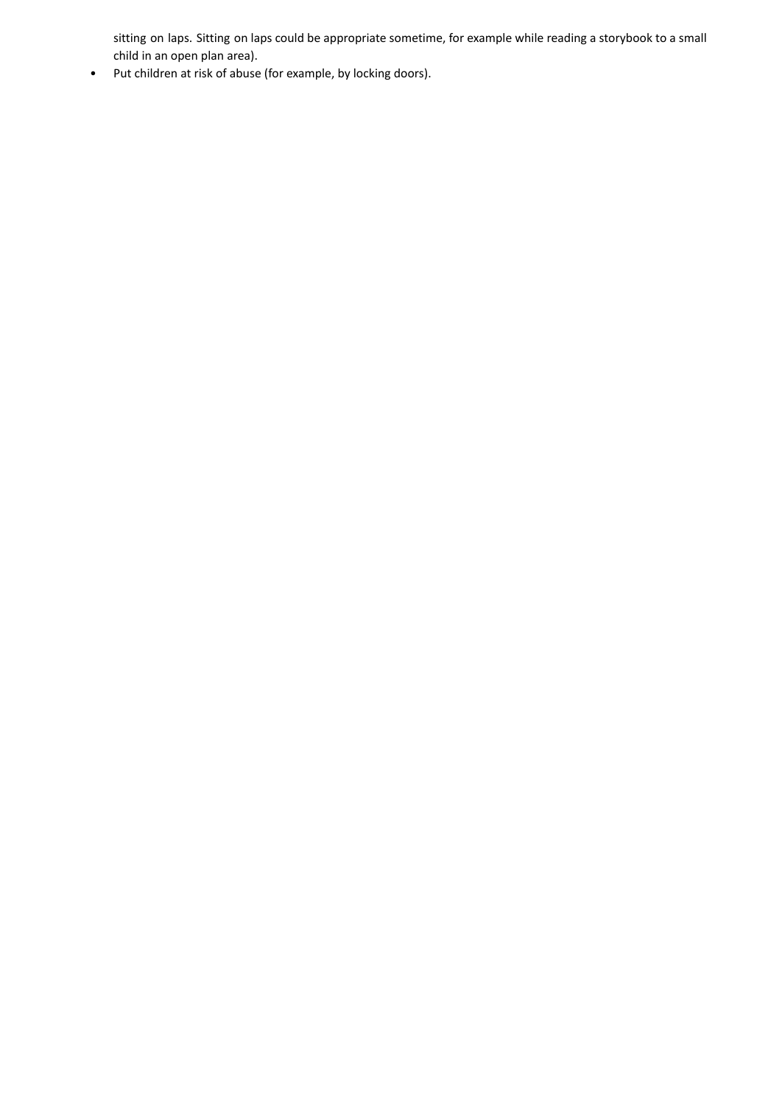sitting on laps. Sitting on laps could be appropriate sometime, for example while reading a storybook to a small child in an open plan area).

• Put children at risk of abuse (for example, by locking doors).